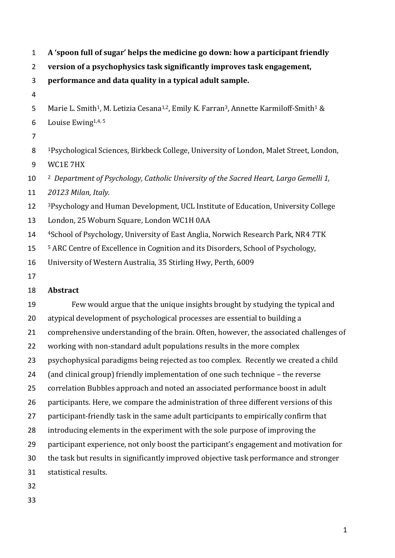**A 'spoon full of sugar' helps the medicine go down: how a participant friendly** 

**version of a psychophysics task significantly improves task engagement,**

**performance and data quality in a typical adult sample.** 

- 
- 5 Marie L. Smith<sup>1</sup>, M. Letizia Cesana<sup>1,2</sup>, Emily K. Farran<sup>3</sup>, Annette Karmiloff-Smith<sup>1</sup> &
- 6 Louise Ewing  $1,4,5$
- 
- <sup>1</sup>Psychological Sciences, Birkbeck College, University of London, Malet Street, London, WC1E 7HX

<sup>2</sup> *Department of Psychology, Catholic University of the Sacred Heart, Largo Gemelli 1,* 

*20123 Milan, Italy.*

<sup>3</sup>Psychology and Human Development, UCL Institute of Education, University College

- London, 25 Woburn Square, London WC1H 0AA
- 14 <sup>4</sup> 4 School of Psychology, University of East Anglia, Norwich Research Park, NR4 7TK
- <sup>5</sup> ARC Centre of Excellence in Cognition and its Disorders, School of Psychology,
- University of Western Australia, 35 Stirling Hwy, Perth, 6009
- 

# **Abstract**

 Few would argue that the unique insights brought by studying the typical and atypical development of psychological processes are essential to building a comprehensive understanding of the brain. Often, however, the associated challenges of working with non-standard adult populations results in the more complex psychophysical paradigms being rejected as too complex. Recently we created a child (and clinical group) friendly implementation of one such technique – the reverse correlation Bubbles approach and noted an associated performance boost in adult participants. Here, we compare the administration of three different versions of this 27 participant-friendly task in the same adult participants to empirically confirm that introducing elements in the experiment with the sole purpose of improving the participant experience, not only boost the participant's engagement and motivation for the task but results in significantly improved objective task performance and stronger statistical results.

- 
-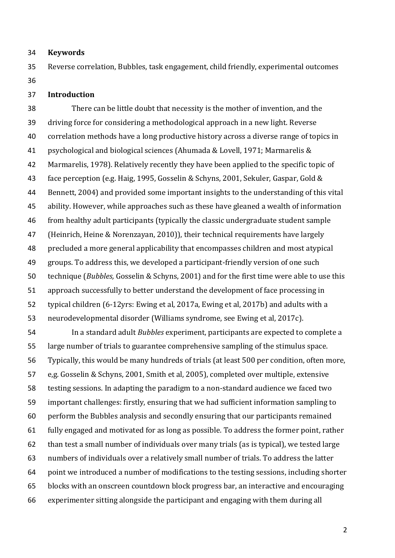#### **Keywords**

 Reverse correlation, Bubbles, task engagement, child friendly, experimental outcomes 

### **Introduction**

 There can be little doubt that necessity is the mother of invention, and the driving force for considering a methodological approach in a new light. Reverse correlation methods have a long productive history across a diverse range of topics in psychological and biological sciences (Ahumada & Lovell, 1971; Marmarelis & Marmarelis, 1978). Relatively recently they have been applied to the specific topic of face perception (e.g. Haig, 1995, Gosselin & Schyns, 2001, Sekuler, Gaspar, Gold & Bennett, 2004) and provided some important insights to the understanding of this vital ability. However, while approaches such as these have gleaned a wealth of information from healthy adult participants (typically the classic undergraduate student sample (Heinrich, Heine & Norenzayan, 2010)), their technical requirements have largely precluded a more general applicability that encompasses children and most atypical groups. To address this, we developed a participant-friendly version of one such technique (*Bubbles,* Gosselin & Schyns, 2001) and for the first time were able to use this approach successfully to better understand the development of face processing in typical children (6-12yrs: Ewing et al, 2017a, Ewing et al, 2017b) and adults with a neurodevelopmental disorder (Williams syndrome, see Ewing et al, 2017c).

 In a standard adult *Bubbles* experiment, participants are expected to complete a large number of trials to guarantee comprehensive sampling of the stimulus space. Typically, this would be many hundreds of trials (at least 500 per condition, often more, e,g. Gosselin & Schyns, 2001, Smith et al, 2005), completed over multiple, extensive testing sessions. In adapting the paradigm to a non-standard audience we faced two important challenges: firstly, ensuring that we had sufficient information sampling to perform the Bubbles analysis and secondly ensuring that our participants remained fully engaged and motivated for as long as possible. To address the former point, rather than test a small number of individuals over many trials (as is typical), we tested large numbers of individuals over a relatively small number of trials. To address the latter point we introduced a number of modifications to the testing sessions, including shorter blocks with an onscreen countdown block progress bar, an interactive and encouraging experimenter sitting alongside the participant and engaging with them during all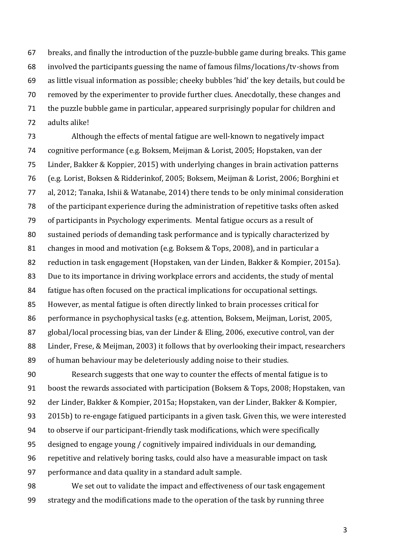breaks, and finally the introduction of the puzzle-bubble game during breaks. This game involved the participants guessing the name of famous films/locations/tv-shows from as little visual information as possible; cheeky bubbles 'hid' the key details, but could be removed by the experimenter to provide further clues. Anecdotally, these changes and the puzzle bubble game in particular, appeared surprisingly popular for children and adults alike!

 Although the effects of mental fatigue are well-known to negatively impact cognitive performance (e.g. Boksem, Meijman & Lorist, 2005; Hopstaken, van der Linder, Bakker & Koppier, 2015) with underlying changes in brain activation patterns (e.g. Lorist, Boksen & Ridderinkof, 2005; Boksem, Meijman & Lorist, 2006; Borghini et al, 2012; Tanaka, Ishii & Watanabe, 2014) there tends to be only minimal consideration of the participant experience during the administration of repetitive tasks often asked of participants in Psychology experiments. Mental fatigue occurs as a result of sustained periods of demanding task performance and is typically characterized by changes in mood and motivation (e.g. Boksem & Tops, 2008), and in particular a reduction in task engagement (Hopstaken, van der Linden, Bakker & Kompier, 2015a). Due to its importance in driving workplace errors and accidents, the study of mental fatigue has often focused on the practical implications for occupational settings. However, as mental fatigue is often directly linked to brain processes critical for performance in psychophysical tasks (e.g. attention, Boksem, Meijman, Lorist, 2005, global/local processing bias, van der Linder & Eling, 2006, executive control, van der Linder, Frese, & Meijman, 2003) it follows that by overlooking their impact, researchers of human behaviour may be deleteriously adding noise to their studies.

 Research suggests that one way to counter the effects of mental fatigue is to boost the rewards associated with participation (Boksem & Tops, 2008; Hopstaken, van der Linder, Bakker & Kompier, 2015a; Hopstaken, van der Linder, Bakker & Kompier, 2015b) to re-engage fatigued participants in a given task. Given this, we were interested to observe if our participant-friendly task modifications, which were specifically designed to engage young / cognitively impaired individuals in our demanding, repetitive and relatively boring tasks, could also have a measurable impact on task performance and data quality in a standard adult sample.

 We set out to validate the impact and effectiveness of our task engagement strategy and the modifications made to the operation of the task by running three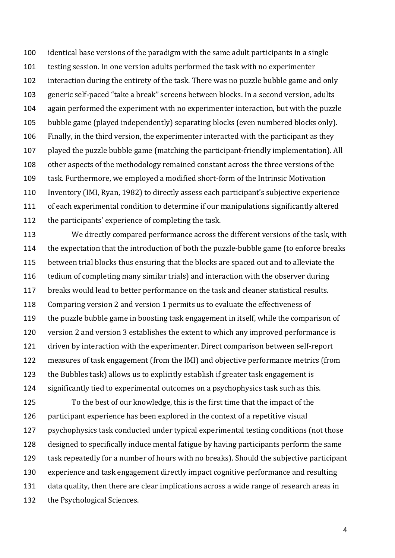identical base versions of the paradigm with the same adult participants in a single testing session. In one version adults performed the task with no experimenter interaction during the entirety of the task. There was no puzzle bubble game and only generic self-paced "take a break" screens between blocks. In a second version, adults again performed the experiment with no experimenter interaction, but with the puzzle bubble game (played independently) separating blocks (even numbered blocks only). Finally, in the third version, the experimenter interacted with the participant as they played the puzzle bubble game (matching the participant-friendly implementation). All other aspects of the methodology remained constant across the three versions of the task. Furthermore, we employed a modified short-form of the Intrinsic Motivation Inventory (IMI, Ryan, 1982) to directly assess each participant's subjective experience of each experimental condition to determine if our manipulations significantly altered the participants' experience of completing the task.

 We directly compared performance across the different versions of the task, with the expectation that the introduction of both the puzzle-bubble game (to enforce breaks between trial blocks thus ensuring that the blocks are spaced out and to alleviate the tedium of completing many similar trials) and interaction with the observer during breaks would lead to better performance on the task and cleaner statistical results. Comparing version 2 and version 1 permits us to evaluate the effectiveness of the puzzle bubble game in boosting task engagement in itself, while the comparison of version 2 and version 3 establishes the extent to which any improved performance is driven by interaction with the experimenter. Direct comparison between self-report measures of task engagement (from the IMI) and objective performance metrics (from the Bubbles task) allows us to explicitly establish if greater task engagement is significantly tied to experimental outcomes on a psychophysics task such as this.

 To the best of our knowledge, this is the first time that the impact of the participant experience has been explored in the context of a repetitive visual psychophysics task conducted under typical experimental testing conditions (not those designed to specifically induce mental fatigue by having participants perform the same task repeatedly for a number of hours with no breaks). Should the subjective participant experience and task engagement directly impact cognitive performance and resulting data quality, then there are clear implications across a wide range of research areas in the Psychological Sciences.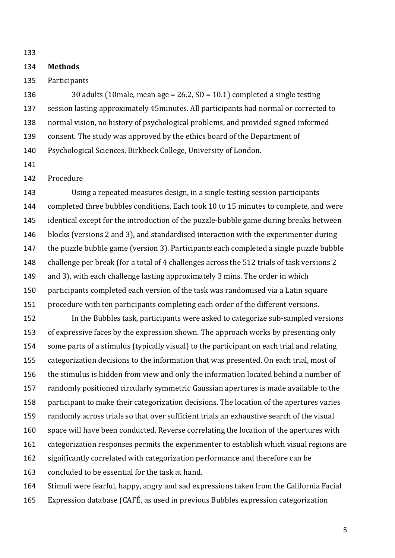### **Methods**

Participants

 30 adults (10male, mean age = 26.2, SD = 10.1) completed a single testing session lasting approximately 45minutes. All participants had normal or corrected to normal vision, no history of psychological problems, and provided signed informed consent. The study was approved by the ethics board of the Department of Psychological Sciences, Birkbeck College, University of London.

## Procedure

 Using a repeated measures design, in a single testing session participants completed three bubbles conditions. Each took 10 to 15 minutes to complete, and were identical except for the introduction of the puzzle-bubble game during breaks between blocks (versions 2 and 3), and standardised interaction with the experimenter during the puzzle bubble game (version 3). Participants each completed a single puzzle bubble challenge per break (for a total of 4 challenges across the 512 trials of task versions 2 and 3), with each challenge lasting approximately 3 mins. The order in which participants completed each version of the task was randomised via a Latin square procedure with ten participants completing each order of the different versions.

 In the Bubbles task, participants were asked to categorize sub-sampled versions of expressive faces by the expression shown. The approach works by presenting only some parts of a stimulus (typically visual) to the participant on each trial and relating categorization decisions to the information that was presented. On each trial, most of the stimulus is hidden from view and only the information located behind a number of randomly positioned circularly symmetric Gaussian apertures is made available to the participant to make their categorization decisions. The location of the apertures varies randomly across trials so that over sufficient trials an exhaustive search of the visual space will have been conducted. Reverse correlating the location of the apertures with categorization responses permits the experimenter to establish which visual regions are significantly correlated with categorization performance and therefore can be concluded to be essential for the task at hand. Stimuli were fearful, happy, angry and sad expressions taken from the California Facial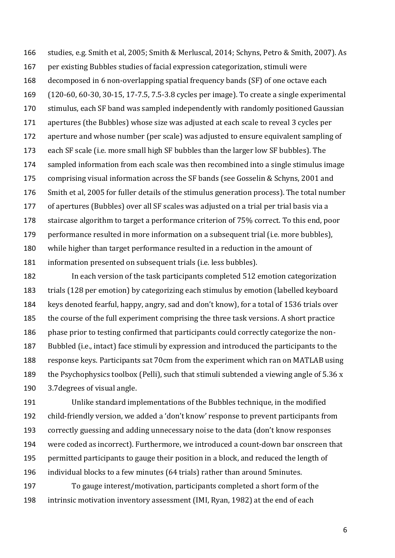studies, e.g. Smith et al, 2005; Smith & Merluscal, 2014; Schyns, Petro & Smith, 2007). As per existing Bubbles studies of facial expression categorization, stimuli were decomposed in 6 non-overlapping spatial frequency bands (SF) of one octave each (120-60, 60-30, 30-15, 17-7.5, 7.5-3.8 cycles per image). To create a single experimental stimulus, each SF band was sampled independently with randomly positioned Gaussian apertures (the Bubbles) whose size was adjusted at each scale to reveal 3 cycles per aperture and whose number (per scale) was adjusted to ensure equivalent sampling of each SF scale (i.e. more small high SF bubbles than the larger low SF bubbles). The sampled information from each scale was then recombined into a single stimulus image comprising visual information across the SF bands (see Gosselin & Schyns, 2001 and Smith et al, 2005 for fuller details of the stimulus generation process). The total number of apertures (Bubbles) over all SF scales was adjusted on a trial per trial basis via a staircase algorithm to target a performance criterion of 75% correct. To this end, poor performance resulted in more information on a subsequent trial (i.e. more bubbles), while higher than target performance resulted in a reduction in the amount of information presented on subsequent trials (i.e. less bubbles).

 In each version of the task participants completed 512 emotion categorization trials (128 per emotion) by categorizing each stimulus by emotion (labelled keyboard keys denoted fearful, happy, angry, sad and don't know), for a total of 1536 trials over the course of the full experiment comprising the three task versions. A short practice phase prior to testing confirmed that participants could correctly categorize the non- Bubbled (i.e., intact) face stimuli by expression and introduced the participants to the response keys. Participants sat 70cm from the experiment which ran on MATLAB using 189 the Psychophysics toolbox (Pelli), such that stimuli subtended a viewing angle of 5.36 x 3.7degrees of visual angle.

 Unlike standard implementations of the Bubbles technique, in the modified child-friendly version, we added a 'don't know' response to prevent participants from correctly guessing and adding unnecessary noise to the data (don't know responses were coded as incorrect). Furthermore, we introduced a count-down bar onscreen that permitted participants to gauge their position in a block, and reduced the length of individual blocks to a few minutes (64 trials) rather than around 5minutes.

 To gauge interest/motivation, participants completed a short form of the intrinsic motivation inventory assessment (IMI, Ryan, 1982) at the end of each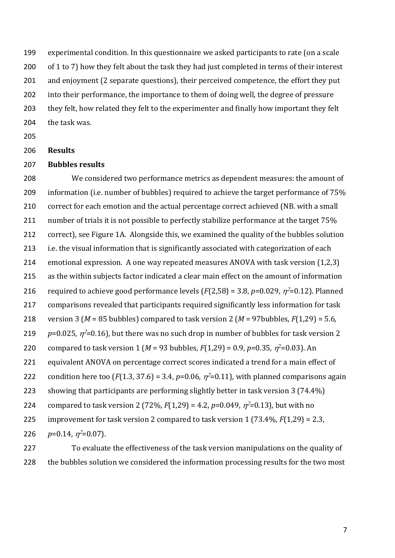experimental condition. In this questionnaire we asked participants to rate (on a scale 200 of 1 to 7) how they felt about the task they had just completed in terms of their interest and enjoyment (2 separate questions), their perceived competence, the effort they put into their performance, the importance to them of doing well, the degree of pressure 203 they felt, how related they felt to the experimenter and finally how important they felt the task was.

## **Results**

## **Bubbles results**

 We considered two performance metrics as dependent measures: the amount of 209 information (i.e. number of bubbles) required to achieve the target performance of 75% correct for each emotion and the actual percentage correct achieved (NB. with a small 211 number of trials it is not possible to perfectly stabilize performance at the target 75% correct), see Figure 1A. Alongside this, we examined the quality of the bubbles solution i.e. the visual information that is significantly associated with categorization of each emotional expression. A one way repeated measures ANOVA with task version (1,2,3) as the within subjects factor indicated a clear main effect on the amount of information 216 required to achieve good performance levels ( $F(2,58) = 3.8$ ,  $p=0.029$ ,  $\eta^2=0.12$ ). Planned comparisons revealed that participants required significantly less information for task version 3 (*M* = 85 bubbles) compared to task version 2 (*M* = 97bubbles, *F*(1,29) = 5.6,  $p=0.025$ ,  $\eta^2=0.16$ ), but there was no such drop in number of bubbles for task version 2 220 compared to task version 1 (*M* = 93 bubbles,  $F(1,29) = 0.9$ ,  $p=0.35$ ,  $\eta^2=0.03$ ). An equivalent ANOVA on percentage correct scores indicated a trend for a main effect of 222 condition here too ( $F(1.3, 37.6) = 3.4$ ,  $p=0.06$ ,  $\eta^2=0.11$ ), with planned comparisons again showing that participants are performing slightly better in task version 3 (74.4%) 224 compared to task version 2 (72%,  $F(1,29) = 4.2$ ,  $p=0.049$ ,  $\eta^2=0.13$ ), but with no improvement for task version 2 compared to task version 1 (73.4%, *F*(1,29) = 2.3,  $p=0.14$ ,  $\eta^2=0.07$ ).

 To evaluate the effectiveness of the task version manipulations on the quality of 228 the bubbles solution we considered the information processing results for the two most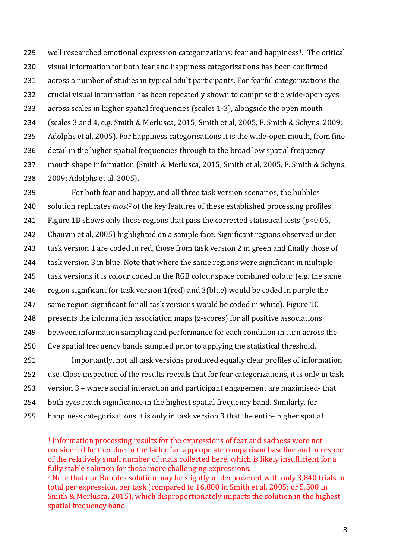229 well researched emotional expression categorizations: fear and happiness<sup>1</sup>. The critical visual information for both fear and happiness categorizations has been confirmed across a number of studies in typical adult participants. For fearful categorizations the crucial visual information has been repeatedly shown to comprise the wide-open eyes across scales in higher spatial frequencies (scales 1-3), alongside the open mouth (scales 3 and 4, e.g. Smith & Merlusca, 2015; Smith et al, 2005, F. Smith & Schyns, 2009; Adolphs et al, 2005). For happiness categorisations it is the wide-open mouth, from fine detail in the higher spatial frequencies through to the broad low spatial frequency mouth shape information (Smith & Merlusca, 2015; Smith et al, 2005, F. Smith & Schyns, 2009; Adolphs et al, 2005).

 For both fear and happy, and all three task version scenarios, the bubbles 240 solution replicates *most<sup>2</sup>* of the key features of these established processing profiles. Figure 1B shows only those regions that pass the corrected statistical tests (*p*<0.05, Chauvin et al, 2005) highlighted on a sample face. Significant regions observed under task version 1 are coded in red, those from task version 2 in green and finally those of task version 3 in blue. Note that where the same regions were significant in multiple task versions it is colour coded in the RGB colour space combined colour (e.g. the same region significant for task version 1(red) and 3(blue) would be coded in purple the same region significant for all task versions would be coded in white). Figure 1C presents the information association maps (z-scores) for all positive associations between information sampling and performance for each condition in turn across the five spatial frequency bands sampled prior to applying the statistical threshold. Importantly, not all task versions produced equally clear profiles of information use. Close inspection of the results reveals that for fear categorizations, it is only in task version 3 – where social interaction and participant engagement are maximised- that both eyes reach significance in the highest spatial frequency band. Similarly, for happiness categorizations it is only in task version 3 that the entire higher spatial

 $\overline{a}$ 

 Information processing results for the expressions of fear and sadness were not considered further due to the lack of an appropriate comparison baseline and in respect of the relatively small number of trials collected here, which is likely insufficient for a fully stable solution for these more challenging expressions. Note that our Bubbles solution may be slightly underpowered with only 3,840 trials in

total per expression, per task (compared to 16,800 in Smith et al, 2005; or 5,500 in Smith & Merlusca, 2015), which disproportionately impacts the solution in the highest spatial frequency band.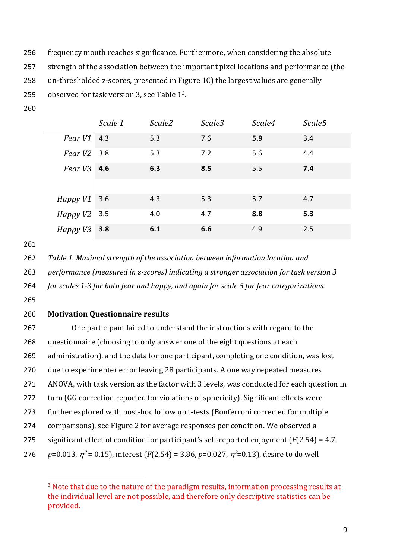- frequency mouth reaches significance. Furthermore, when considering the absolute
- strength of the association between the important pixel locations and performance (the
- un-thresholded z-scores, presented in Figure 1C) the largest values are generally
- 259 observed for task version 3, see Table 1<sup>3</sup>.
- 

|             | Scale 1 | Scale2 | Scale3 | Scale4 | Scale5 |
|-------------|---------|--------|--------|--------|--------|
| Fear V1     | 4.3     | 5.3    | 7.6    | 5.9    | 3.4    |
| Fear $V2$   | 3.8     | 5.3    | 7.2    | 5.6    | 4.4    |
| Fear V3     | 4.6     | 6.3    | 8.5    | 5.5    | 7.4    |
|             |         |        |        |        |        |
| $H$ appy V1 | 3.6     | 4.3    | 5.3    | 5.7    | 4.7    |
| HappyV2     | 3.5     | 4.0    | 4.7    | 8.8    | 5.3    |
| Happy V3    | 3.8     | 6.1    | 6.6    | 4.9    | 2.5    |

*Table 1. Maximal strength of the association between information location and* 

- *performance (measured in z-scores) indicating a stronger association for task version 3*
- *for scales 1-3 for both fear and happy, and again for scale 5 for fear categorizations.*
- 

 $\overline{a}$ 

# **Motivation Questionnaire results**

 One participant failed to understand the instructions with regard to the questionnaire (choosing to only answer one of the eight questions at each administration), and the data for one participant, completing one condition, was lost due to experimenter error leaving 28 participants. A one way repeated measures ANOVA, with task version as the factor with 3 levels, was conducted for each question in turn (GG correction reported for violations of sphericity). Significant effects were further explored with post-hoc follow up t-tests (Bonferroni corrected for multiple comparisons), see Figure 2 for average responses per condition. We observed a significant effect of condition for participant's self-reported enjoyment (*F*(2,54) = 4.7,  $p=0.013$ ,  $\eta^2 = 0.15$ ), interest (*F*(2,54) = 3.86, *p*=0.027,  $\eta^2$ =0.13), desire to do well

<sup>&</sup>lt;sup>3</sup> Note that due to the nature of the paradigm results, information processing results at the individual level are not possible, and therefore only descriptive statistics can be provided.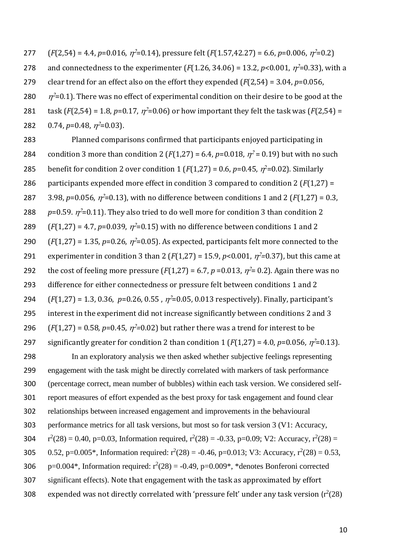277  $(F(2,54) = 4.4, p=0.016, \eta^2=0.14)$ , pressure felt  $(F(1.57, 42.27) = 6.6, p=0.006, \eta^2=0.2)$ 278 and connectedness to the experimenter  $(F(1.26, 34.06) = 13.2, p<0.001, \eta^2=0.33)$ , with a 279 clear trend for an effect also on the effort they expended (*F*(2,54) = 3.04, *p*=0.056, 280  $\eta^2$ =0.1). There was no effect of experimental condition on their desire to be good at the 281 task  $(F(2,54) = 1.8, p=0.17, \eta^2=0.06)$  or how important they felt the task was  $(F(2,54) =$ 282 0.74,  $p=0.48$ ,  $\eta^2=0.03$ ).

283 Planned comparisons confirmed that participants enjoyed participating in 284 condition 3 more than condition 2 ( $F(1,27) = 6.4$ ,  $p=0.018$ ,  $\eta^2 = 0.19$ ) but with no such 285 benefit for condition 2 over condition 1 ( $F(1,27) = 0.6$ ,  $p=0.45$ ,  $\eta^2=0.02$ ). Similarly 286 participants expended more effect in condition 3 compared to condition 2 (*F*(1,27) = 287 3.98,  $p=0.056$ ,  $\eta^2=0.13$ ), with no difference between conditions 1 and 2 ( $F(1,27) = 0.3$ , 288  $p=0.59$ .  $\eta^2$ =0.11). They also tried to do well more for condition 3 than condition 2 289  $(F(1,27) = 4.7, p=0.039, \eta^2=0.15)$  with no difference between conditions 1 and 2 290  $(F(1,27) = 1.35, p=0.26, \eta^2=0.05)$ . As expected, participants felt more connected to the 291 experimenter in condition 3 than 2 ( $F(1,27)$  = 15.9,  $p$ <0.001,  $\eta$ <sup>2</sup>=0.37), but this came at 292 the cost of feeling more pressure  $(F(1,27) = 6.7, p = 0.013, \eta^2 = 0.2)$ . Again there was no 293 difference for either connectedness or pressure felt between conditions 1 and 2 294  $(F(1,27) = 1.3, 0.36, p=0.26, 0.55, \eta^2=0.05, 0.013$  respectively). Finally, participant's 295 interest in the experiment did not increase significantly between conditions 2 and 3 296  $(F(1,27) = 0.58, p=0.45, \eta^2=0.02)$  but rather there was a trend for interest to be 297 significantly greater for condition 2 than condition  $1$  ( $F(1,27) = 4.0$ ,  $p=0.056$ ,  $\eta^2=0.13$ ).

 In an exploratory analysis we then asked whether subjective feelings representing engagement with the task might be directly correlated with markers of task performance (percentage correct, mean number of bubbles) within each task version. We considered self- report measures of effort expended as the best proxy for task engagement and found clear relationships between increased engagement and improvements in the behavioural performance metrics for all task versions, but most so for task version 3 (V1: Accuracy,  $r^2(28) = 0.40$ , p=0.03, Information required,  $r^2(28) = -0.33$ , p=0.09; V2: Accuracy,  $r^2(28) =$ 305 0.52, p=0.005\*, Information required:  $r^2(28) = -0.46$ , p=0.013; V3: Accuracy,  $r^2(28) = 0.53$ ,  $p=0.004^*$ , Information required:  $r^2(28) = -0.49$ ,  $p=0.009^*$ , \*denotes Bonferoni corrected significant effects). Note that engagement with the task as approximated by effort 308 expended was not directly correlated with 'pressure felt' under any task version ( $r^2(28)$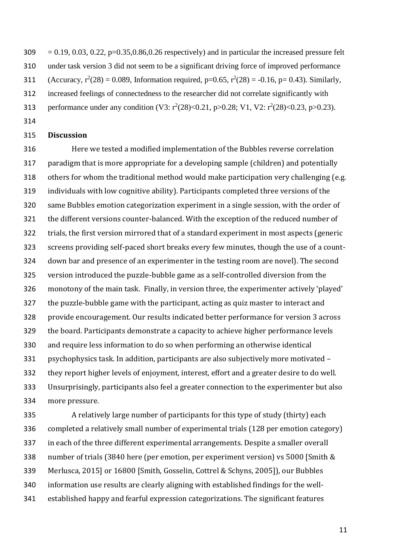$309 = 0.19, 0.03, 0.22, p=0.35, 0.86, 0.26$  respectively) and in particular the increased pressure felt under task version 3 did not seem to be a significant driving force of improved performance 311 (Accuracy,  $r^2(28) = 0.089$ , Information required, p=0.65,  $r^2(28) = -0.16$ , p= 0.43). Similarly, increased feelings of connectedness to the researcher did not correlate significantly with 313 performance under any condition (V3:  $r^2(28) \le 0.21$ , p $> 0.28$ ; V1, V2:  $r^2(28) \le 0.23$ , p $> 0.23$ ).

### **Discussion**

 Here we tested a modified implementation of the Bubbles reverse correlation paradigm that is more appropriate for a developing sample (children) and potentially others for whom the traditional method would make participation very challenging (e.g. individuals with low cognitive ability). Participants completed three versions of the same Bubbles emotion categorization experiment in a single session, with the order of the different versions counter-balanced. With the exception of the reduced number of trials, the first version mirrored that of a standard experiment in most aspects (generic screens providing self-paced short breaks every few minutes, though the use of a count- down bar and presence of an experimenter in the testing room are novel). The second version introduced the puzzle-bubble game as a self-controlled diversion from the monotony of the main task. Finally, in version three, the experimenter actively 'played' the puzzle-bubble game with the participant, acting as quiz master to interact and provide encouragement. Our results indicated better performance for version 3 across the board. Participants demonstrate a capacity to achieve higher performance levels and require less information to do so when performing an otherwise identical psychophysics task. In addition, participants are also subjectively more motivated – they report higher levels of enjoyment, interest, effort and a greater desire to do well. Unsurprisingly, participants also feel a greater connection to the experimenter but also more pressure.

 A relatively large number of participants for this type of study (thirty) each completed a relatively small number of experimental trials (128 per emotion category) in each of the three different experimental arrangements. Despite a smaller overall number of trials (3840 here (per emotion, per experiment version) vs 5000 [Smith & Merlusca, 2015] or 16800 [Smith, Gosselin, Cottrel & Schyns, 2005]), our Bubbles information use results are clearly aligning with established findings for the well-established happy and fearful expression categorizations. The significant features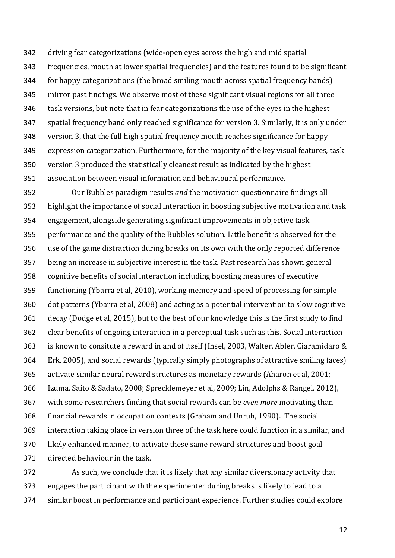driving fear categorizations (wide-open eyes across the high and mid spatial frequencies, mouth at lower spatial frequencies) and the features found to be significant for happy categorizations (the broad smiling mouth across spatial frequency bands) mirror past findings. We observe most of these significant visual regions for all three task versions, but note that in fear categorizations the use of the eyes in the highest spatial frequency band only reached significance for version 3. Similarly, it is only under version 3, that the full high spatial frequency mouth reaches significance for happy expression categorization. Furthermore, for the majority of the key visual features, task version 3 produced the statistically cleanest result as indicated by the highest association between visual information and behavioural performance.

 Our Bubbles paradigm results *and* the motivation questionnaire findings all highlight the importance of social interaction in boosting subjective motivation and task engagement, alongside generating significant improvements in objective task performance and the quality of the Bubbles solution. Little benefit is observed for the use of the game distraction during breaks on its own with the only reported difference being an increase in subjective interest in the task. Past research has shown general cognitive benefits of social interaction including boosting measures of executive functioning (Ybarra et al, 2010), working memory and speed of processing for simple dot patterns (Ybarra et al, 2008) and acting as a potential intervention to slow cognitive decay (Dodge et al, 2015), but to the best of our knowledge this is the first study to find clear benefits of ongoing interaction in a perceptual task such as this. Social interaction is known to consitute a reward in and of itself (Insel, 2003, Walter, Abler, Ciaramidaro & Erk, 2005), and social rewards (typically simply photographs of attractive smiling faces) activate similar neural reward structures as monetary rewards (Aharon et al, 2001; Izuma, Saito & Sadato, 2008; Sprecklemeyer et al, 2009; Lin, Adolphs & Rangel, 2012), with some researchers finding that social rewards can be *even more* motivating than financial rewards in occupation contexts (Graham and Unruh, 1990). The social interaction taking place in version three of the task here could function in a similar, and likely enhanced manner, to activate these same reward structures and boost goal directed behaviour in the task.

 As such, we conclude that it is likely that any similar diversionary activity that engages the participant with the experimenter during breaks is likely to lead to a similar boost in performance and participant experience. Further studies could explore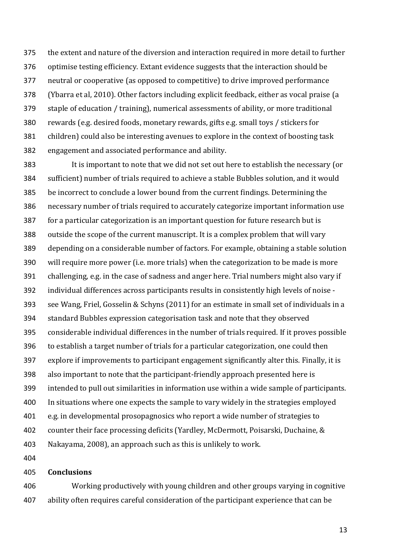the extent and nature of the diversion and interaction required in more detail to further optimise testing efficiency. Extant evidence suggests that the interaction should be neutral or cooperative (as opposed to competitive) to drive improved performance (Ybarra et al, 2010). Other factors including explicit feedback, either as vocal praise (a staple of education / training), numerical assessments of ability, or more traditional rewards (e.g. desired foods, monetary rewards, gifts e.g. small toys / stickers for children) could also be interesting avenues to explore in the context of boosting task engagement and associated performance and ability.

 It is important to note that we did not set out here to establish the necessary (or sufficient) number of trials required to achieve a stable Bubbles solution, and it would be incorrect to conclude a lower bound from the current findings. Determining the necessary number of trials required to accurately categorize important information use for a particular categorization is an important question for future research but is outside the scope of the current manuscript. It is a complex problem that will vary depending on a considerable number of factors. For example, obtaining a stable solution will require more power (i.e. more trials) when the categorization to be made is more challenging, e.g. in the case of sadness and anger here. Trial numbers might also vary if individual differences across participants results in consistently high levels of noise - see Wang, Friel, Gosselin & Schyns (2011) for an estimate in small set of individuals in a standard Bubbles expression categorisation task and note that they observed considerable individual differences in the number of trials required. If it proves possible to establish a target number of trials for a particular categorization, one could then explore if improvements to participant engagement significantly alter this. Finally, it is also important to note that the participant-friendly approach presented here is intended to pull out similarities in information use within a wide sample of participants. In situations where one expects the sample to vary widely in the strategies employed e.g. in developmental prosopagnosics who report a wide number of strategies to counter their face processing deficits (Yardley, McDermott, Poisarski, Duchaine, & Nakayama, 2008), an approach such as this is unlikely to work.

#### **Conclusions**

 Working productively with young children and other groups varying in cognitive ability often requires careful consideration of the participant experience that can be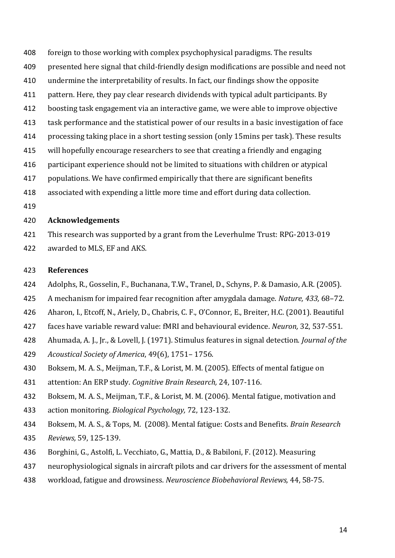- foreign to those working with complex psychophysical paradigms. The results
- presented here signal that child-friendly design modifications are possible and need not
- undermine the interpretability of results. In fact, our findings show the opposite
- pattern. Here, they pay clear research dividends with typical adult participants. By
- boosting task engagement via an interactive game, we were able to improve objective
- task performance and the statistical power of our results in a basic investigation of face
- processing taking place in a short testing session (only 15mins per task). These results
- will hopefully encourage researchers to see that creating a friendly and engaging
- participant experience should not be limited to situations with children or atypical
- populations. We have confirmed empirically that there are significant benefits
- associated with expending a little more time and effort during data collection.
- 

## **Acknowledgements**

- This research was supported by a grant from the Leverhulme Trust: RPG-2013-019
- awarded to MLS, EF and AKS.

## **References**

- Adolphs, R., Gosselin, F., Buchanana, T.W., Tranel, D., Schyns, P. & Damasio, A.R. (2005).
- A mechanism for impaired fear recognition after amygdala damage. *Nature, 433,* 68–72.
- Aharon, I., Etcoff, N., Ariely, D., Chabris, C. F., O'Connor, E., Breiter, H.C. (2001). Beautiful
- faces have variable reward value: fMRI and behavioural evidence. *Neuron,* 32, 537-551.
- Ahumada, A. J., Jr., & Lovell, J. (1971). Stimulus features in signal detection. *Journal of the*
- *Acoustical Society of America*, 49(6), 1751– 1756.
- Boksem, M. A. S., Meijman, T.F., & Lorist, M. M. (2005). Effects of mental fatigue on
- attention: An ERP study. *Cognitive Brain Research,* 24, 107-116.
- Boksem, M. A. S., Meijman, T.F., & Lorist, M. M. (2006). Mental fatigue, motivation and
- action monitoring. *Biological Psychology,* 72, 123-132.
- Boksem, M. A. S., & Tops, M. (2008). Mental fatigue: Costs and Benefits. *Brain Research*
- *Reviews,* 59, 125-139.
- Borghini, G., Astolfi, L. Vecchiato, G., Mattia, D., & Babiloni, F. (2012). Measuring
- neurophysiological signals in aircraft pilots and car drivers for the assessment of mental
- workload, fatigue and drowsiness. *Neuroscience Biobehavioral Reviews,* 44, 58-75.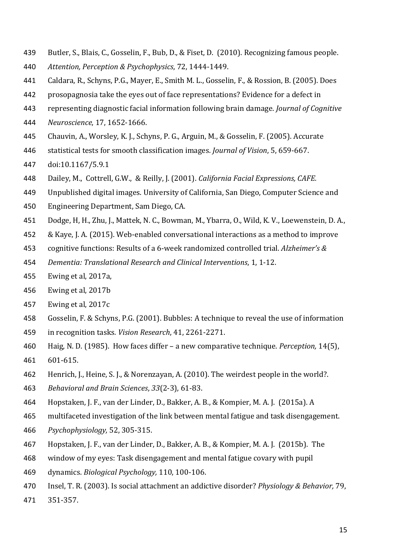- Butler, S., Blais, C., Gosselin, F., Bub, D., & Fiset, D. (2010). Recognizing famous people.
- *Attention, Perception & Psychophysics*, 72, 1444-1449.
- Caldara, R., Schyns, P.G., Mayer, E., Smith M. L., Gosselin, F., & Rossion, B. (2005). Does
- prosopagnosia take the eyes out of face representations? Evidence for a defect in
- representing diagnostic facial information following brain damage. *Journal of Cognitive*
- *Neuroscience*, 17, 1652-1666.
- Chauvin, A., Worsley, K. J., Schyns, P. G., Arguin, M., & Gosselin, F. (2005). Accurate
- statistical tests for smooth classification images. *Journal of Vision*, 5, 659-667.
- doi:10.1167/5.9.1
- Dailey, M., Cottrell, G.W., & Reilly, J. (2001). *California Facial Expressions, CAFE.*
- Unpublished digital images. University of California, San Diego, Computer Science and
- Engineering Department, Sam Diego, CA.
- Dodge, H, H., Zhu, J., Mattek, N. C., Bowman, M., Ybarra, O., Wild, K. V., Loewenstein, D. A.,
- & Kaye, J. A. (2015). Web-enabled conversational interactions as a method to improve
- cognitive functions: Results of a 6-week randomized controlled trial. *Alzheimer's &*
- *Dementia: Translational Research and Clinical Interventions*, 1, 1-12.
- Ewing et al, 2017a,
- Ewing et al, 2017b
- Ewing et al, 2017c
- Gosselin, F. & Schyns, P.G. (2001). Bubbles: A technique to reveal the use of information
- in recognition tasks*. Vision Research*, 41, 2261-2271.
- Haig, N. D. (1985). How faces differ a new comparative technique. *Perception,* 14(5), 601-615.
- Henrich, J., Heine, S. J., & Norenzayan, A. (2010). The weirdest people in the world?.
- *Behavioral and Brain Sciences*, *33*(2-3), 61-83.
- Hopstaken, J. F., van der Linder, D., Bakker, A. B., & Kompier, M. A. J. (2015a). A
- multifaceted investigation of the link between mental fatigue and task disengagement.
- *Psychophysiology,* 52, 305-315.
- Hopstaken, J. F., van der Linder, D., Bakker, A. B., & Kompier, M. A. J. (2015b). The
- window of my eyes: Task disengagement and mental fatigue covary with pupil
- dynamics. *Biological Psychology,* 110, 100-106.
- Insel, T. R. (2003). Is social attachment an addictive disorder? *Physiology & Behavior,* 79,
- 351-357.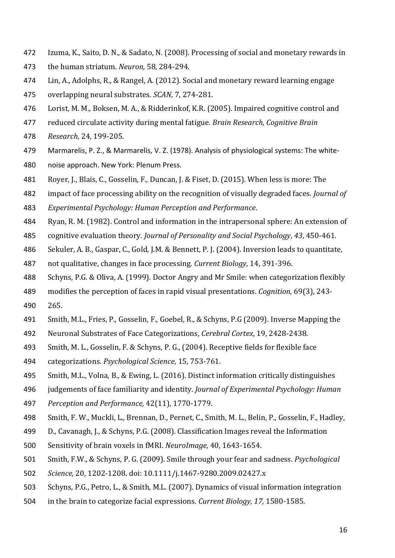- Izuma, K., Saito, D. N., & Sadato, N. (2008). Processing of social and monetary rewards in
- the human striatum. *Neuron,* 58, 284-294.
- Lin, A., Adolphs, R., & Rangel, A. (2012). Social and monetary reward learning engage
- overlapping neural substrates. *SCAN,* 7, 274-281.
- Lorist, M. M., Boksen, M. A., & Ridderinkof, K.R. (2005). Impaired cognitive control and
- reduced circulate activity during mental fatigue. *Brain Research, Cognitive Brain*
- *Research,* 24, 199-205.
- Marmarelis, P. Z., & Marmarelis, V. Z. (1978). Analysis of physiological systems: The white-
- noise approach. New York: Plenum Press.
- Royer, J., Blais, C., Gosselin, F., Duncan, J. & Fiset, D. (2015). When less is more: The
- impact of face processing ability on the recognition of visually degraded faces. *Journal of*
- *Experimental Psychology: Human Perception and Performance*.
- Ryan, R. M. (1982). Control and information in the intrapersonal sphere: An extension of
- cognitive evaluation theory. *Journal of Personality and Social Psychology*, *43*, 450-461.
- Sekuler, A. B., Gaspar, C., Gold, J.M. & Bennett, P. J. (2004). Inversion leads to quantitate,
- not qualitative, changes in face processing. *Current Biology*, 14, 391-396.
- Schyns, P.G. & Oliva, A. (1999). Doctor Angry and Mr Smile: when categorization flexibly
- modifies the perception of faces in rapid visual presentations. *Cognition,* 69(3), 243-
- 265.
- Smith, M.L., Fries, P., Gosselin, F., Goebel, R., & Schyns, P.G (2009). Inverse Mapping the
- Neuronal Substrates of Face Categorizations, *Cerebral Cortex*, 19, 2428-2438.
- Smith, M. L., Gosselin, F. & Schyns, P. G., (2004). Receptive fields for flexible face
- categorizations. *Psychological Science*, 15, 753-761.
- Smith, M.L., Volna, B., & Ewing, L. (2016). Distinct information critically distinguishes
- judgements of face familiarity and identity. *Journal of Experimental Psychology: Human*
- *Perception and Performance,* 42(11), 1770-1779.
- Smith, F. W., Muckli, L., Brennan, D., Pernet, C., Smith, M. L., Belin, P., Gosselin, F., Hadley,
- D., Cavanagh, J., & Schyns, P.G. (2008). Classification Images reveal the Information
- Sensitivity of brain voxels in fMRI. *NeuroImage*, 40, 1643-1654.
- Smith, F.W., & Schyns, P. G. (2009). Smile through your fear and sadness. *Psychological*
- *Science,* 20, 1202-1208. doi: 10.1111/j.1467-9280.2009.02427.x
- Schyns, P.G., Petro, L., & Smith, M.L. (2007). Dynamics of visual information integration
- in the brain to categorize facial expressions. *Current Biology, 17,* 1580-1585.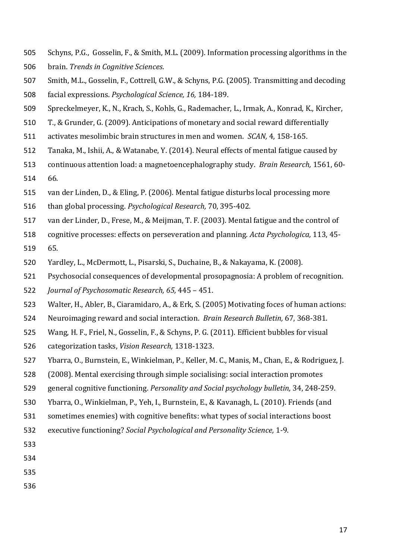- Schyns, P.G., Gosselin, F., & Smith, M.L. (2009). Information processing algorithms in the brain. *Trends in Cognitive Sciences*.
- Smith, M.L., Gosselin, F., Cottrell, G.W., & Schyns, P.G. (2005). Transmitting and decoding
- facial expressions. *Psychological Science, 16,* 184-189.
- Spreckelmeyer, K., N., Krach, S., Kohls, G., Rademacher, L., Irmak, A., Konrad, K., Kircher,
- T., & Grunder, G. (2009). Anticipations of monetary and social reward differentially
- activates mesolimbic brain structures in men and women. *SCAN,* 4, 158-165.
- Tanaka, M., Ishii, A., & Watanabe, Y. (2014). Neural effects of mental fatigue caused by
- continuous attention load: a magnetoencephalography study. *Brain Research,* 1561, 60- 66.
- van der Linden, D., & Eling, P. (2006). Mental fatigue disturbs local processing more
- than global processing. *Psychological Research,* 70, 395-402.
- van der Linder, D., Frese, M., & Meijman, T. F. (2003). Mental fatigue and the control of
- cognitive processes: effects on perseveration and planning. *Acta Psychologica,* 113, 45- 65.
- Yardley, L., McDermott, L., Pisarski, S., Duchaine, B., & Nakayama, K. (2008).
- Psychosocial consequences of developmental prosopagnosia: A problem of recognition.
- *Journal of Psychosomatic Research, 65,* 445 451.
- Walter, H., Abler, B., Ciaramidaro, A., & Erk, S. (2005) Motivating foces of human actions:
- Neuroimaging reward and social interaction. *Brain Research Bulletin,* 67, 368-381.
- Wang, H. F., Friel, N., Gosselin, F., & Schyns, P. G. (2011). Efficient bubbles for visual
- categorization tasks, *Vision Research,* 1318-1323.
- Ybarra, O., Burnstein, E., Winkielman, P., Keller, M. C., Manis, M., Chan, E., & Rodriguez, J.
- (2008). Mental exercising through simple socialising: social interaction promotes
- general cognitive functioning. *Personality and Social psychology bulletin,* 34, 248-259.
- Ybarra, O., Winkielman, P., Yeh, I., Burnstein, E., & Kavanagh, L. (2010). Friends (and
- sometimes enemies) with cognitive benefits: what types of social interactions boost
- executive functioning? *Social Psychological and Personality Science,* 1-9.
- 
- 
- 
-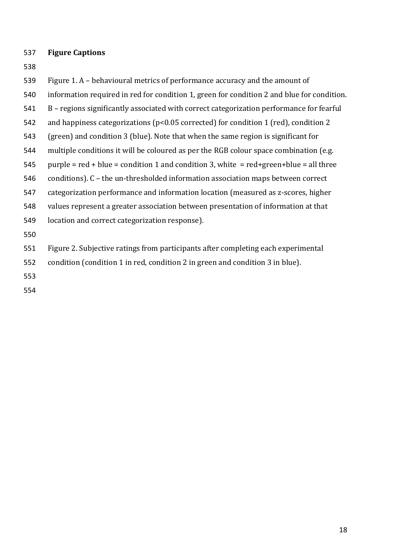## **Figure Captions**

- 
- Figure 1. A behavioural metrics of performance accuracy and the amount of
- information required in red for condition 1, green for condition 2 and blue for condition.
- B regions significantly associated with correct categorization performance for fearful
- and happiness categorizations (p<0.05 corrected) for condition 1 (red), condition 2
- (green) and condition 3 (blue). Note that when the same region is significant for
- multiple conditions it will be coloured as per the RGB colour space combination (e.g.
- 545 purple =  $red + blue = condition 1$  and condition 3, white =  $red + green + blue = all$  three
- conditions). C the un-thresholded information association maps between correct
- categorization performance and information location (measured as z-scores, higher
- values represent a greater association between presentation of information at that
- location and correct categorization response).
- 

Figure 2. Subjective ratings from participants after completing each experimental

- condition (condition 1 in red, condition 2 in green and condition 3 in blue).
- 
-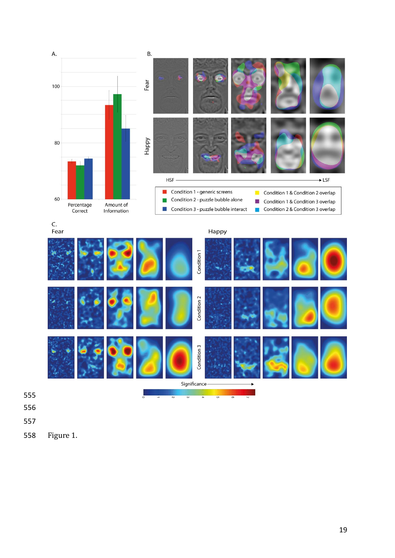

Figure 1.